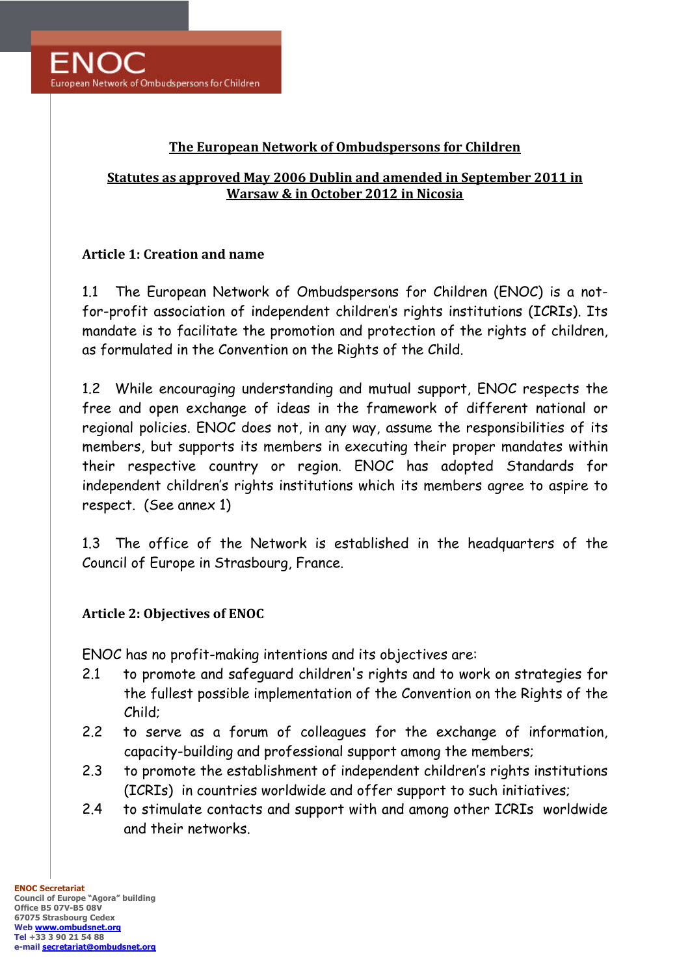### **The European Network of Ombudspersons for Children**

#### **Statutes as approved May 2006 Dublin and amended in September 2011 in Warsaw & in October 2012 in Nicosia**

#### **Article 1: Creation and name**

1.1 The European Network of Ombudspersons for Children (ENOC) is a notfor-profit association of independent children's rights institutions (ICRIs). Its mandate is to facilitate the promotion and protection of the rights of children, as formulated in the Convention on the Rights of the Child.

1.2 While encouraging understanding and mutual support, ENOC respects the free and open exchange of ideas in the framework of different national or regional policies. ENOC does not, in any way, assume the responsibilities of its members, but supports its members in executing their proper mandates within their respective country or region. ENOC has adopted Standards for independent children's rights institutions which its members agree to aspire to respect. (See annex 1)

1.3 The office of the Network is established in the headquarters of the Council of Europe in Strasbourg, France.

#### **Article 2: Objectives of ENOC**

ENOC has no profit-making intentions and its objectives are:

- 2.1 to promote and safeguard children's rights and to work on strategies for the fullest possible implementation of the Convention on the Rights of the Child;
- 2.2 to serve as a forum of colleagues for the exchange of information, capacity-building and professional support among the members;
- 2.3 to promote the establishment of independent children's rights institutions (ICRIs) in countries worldwide and offer support to such initiatives;
- 2.4 to stimulate contacts and support with and among other ICRIs worldwide and their networks.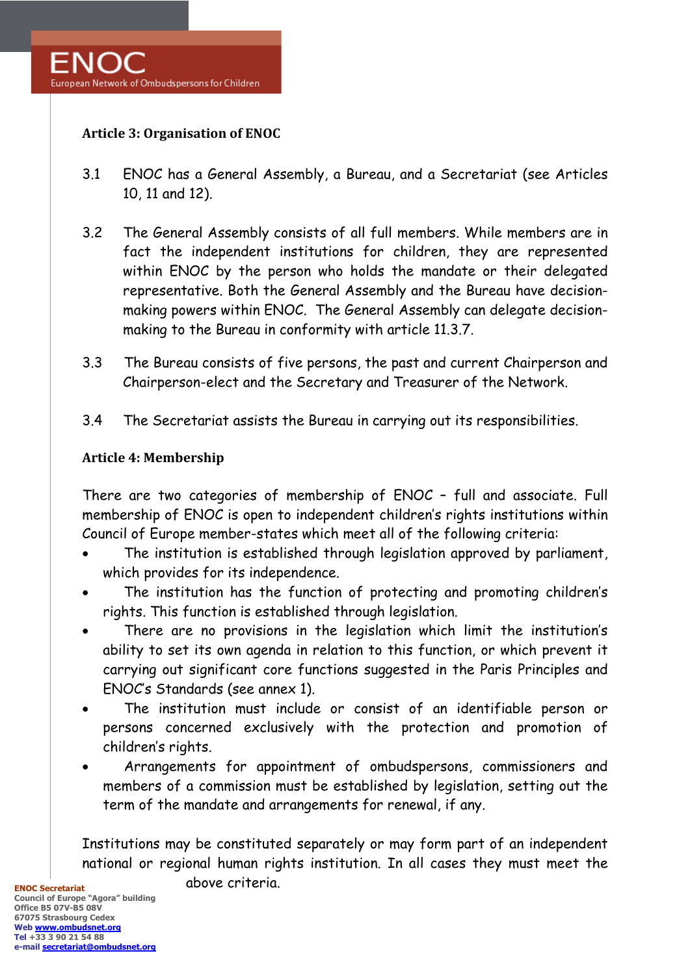

### **Article 3: Organisation of ENOC**

- 3.1 ENOC has a General Assembly, a Bureau, and a Secretariat (see Articles 10, 11 and 12).
- 3.2 The General Assembly consists of all full members. While members are in fact the independent institutions for children, they are represented within ENOC by the person who holds the mandate or their delegated representative. Both the General Assembly and the Bureau have decisionmaking powers within ENOC. The General Assembly can delegate decisionmaking to the Bureau in conformity with article 11.3.7.
- 3.3 The Bureau consists of five persons, the past and current Chairperson and Chairperson-elect and the Secretary and Treasurer of the Network.
- 3.4 The Secretariat assists the Bureau in carrying out its responsibilities.

#### **Article 4: Membership**

There are two categories of membership of ENOC – full and associate. Full membership of ENOC is open to independent children's rights institutions within Council of Europe member-states which meet all of the following criteria:

- The institution is established through legislation approved by parliament, which provides for its independence.
- The institution has the function of protecting and promoting children's rights. This function is established through legislation.
- There are no provisions in the legislation which limit the institution's ability to set its own agenda in relation to this function, or which prevent it carrying out significant core functions suggested in the Paris Principles and ENOC's Standards (see annex 1).
- The institution must include or consist of an identifiable person or persons concerned exclusively with the protection and promotion of children's rights.
- Arrangements for appointment of ombudspersons, commissioners and members of a commission must be established by legislation, setting out the term of the mandate and arrangements for renewal, if any.

Institutions may be constituted separately or may form part of an independent national or regional human rights institution. In all cases they must meet the

above criteria.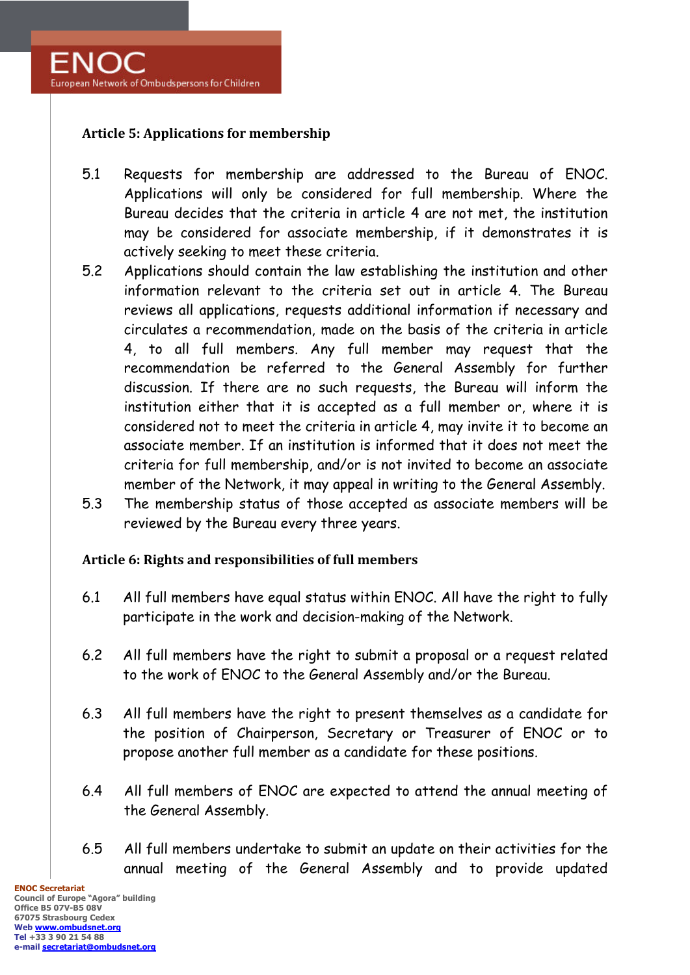

### **Article 5: Applications for membership**

- 5.1 Requests for membership are addressed to the Bureau of ENOC. Applications will only be considered for full membership. Where the Bureau decides that the criteria in article 4 are not met, the institution may be considered for associate membership, if it demonstrates it is actively seeking to meet these criteria.
- 5.2 Applications should contain the law establishing the institution and other information relevant to the criteria set out in article 4. The Bureau reviews all applications, requests additional information if necessary and circulates a recommendation, made on the basis of the criteria in article 4, to all full members. Any full member may request that the recommendation be referred to the General Assembly for further discussion. If there are no such requests, the Bureau will inform the institution either that it is accepted as a full member or, where it is considered not to meet the criteria in article 4, may invite it to become an associate member. If an institution is informed that it does not meet the criteria for full membership, and/or is not invited to become an associate member of the Network, it may appeal in writing to the General Assembly.
- 5.3 The membership status of those accepted as associate members will be reviewed by the Bureau every three years.

#### **Article 6: Rights and responsibilities of full members**

- 6.1 All full members have equal status within ENOC. All have the right to fully participate in the work and decision-making of the Network.
- 6.2 All full members have the right to submit a proposal or a request related to the work of ENOC to the General Assembly and/or the Bureau.
- 6.3 All full members have the right to present themselves as a candidate for the position of Chairperson, Secretary or Treasurer of ENOC or to propose another full member as a candidate for these positions.
- 6.4 All full members of ENOC are expected to attend the annual meeting of the General Assembly.
- 6.5 All full members undertake to submit an update on their activities for the annual meeting of the General Assembly and to provide updated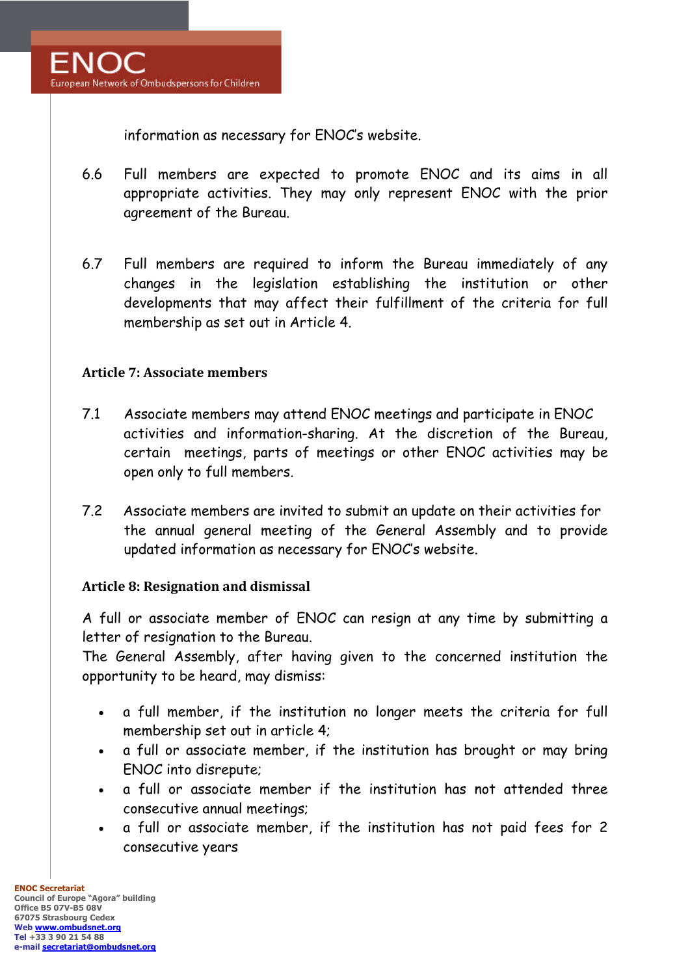information as necessary for ENOC's website.

- 6.6 Full members are expected to promote ENOC and its aims in all appropriate activities. They may only represent ENOC with the prior agreement of the Bureau.
- 6.7 Full members are required to inform the Bureau immediately of any changes in the legislation establishing the institution or other developments that may affect their fulfillment of the criteria for full membership as set out in Article 4.

#### **Article 7: Associate members**

- 7.1 Associate members may attend ENOC meetings and participate in ENOC activities and information-sharing. At the discretion of the Bureau, certain meetings, parts of meetings or other ENOC activities may be open only to full members.
- 7.2 Associate members are invited to submit an update on their activities for the annual general meeting of the General Assembly and to provide updated information as necessary for ENOC's website.

# **Article 8: Resignation and dismissal**

A full or associate member of ENOC can resign at any time by submitting a letter of resignation to the Bureau.

The General Assembly, after having given to the concerned institution the opportunity to be heard, may dismiss:

- a full member, if the institution no longer meets the criteria for full membership set out in article 4;
- a full or associate member, if the institution has brought or may bring ENOC into disrepute;
- a full or associate member if the institution has not attended three consecutive annual meetings;
- a full or associate member, if the institution has not paid fees for 2 consecutive years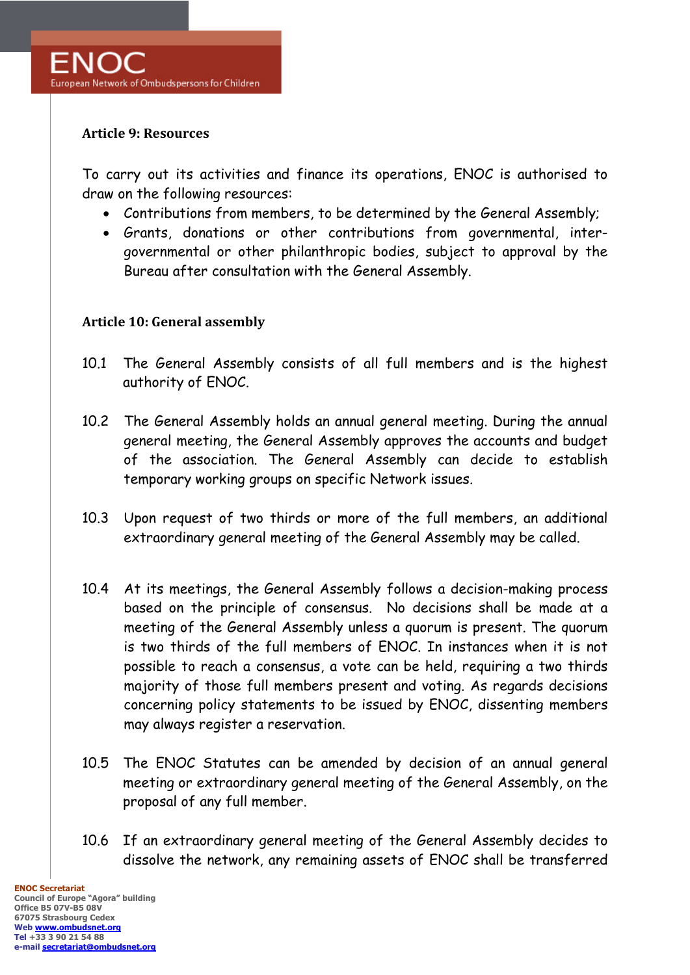#### **Article 9: Resources**

To carry out its activities and finance its operations, ENOC is authorised to draw on the following resources:

- Contributions from members, to be determined by the General Assembly;
- Grants, donations or other contributions from governmental, intergovernmental or other philanthropic bodies, subject to approval by the Bureau after consultation with the General Assembly.

#### **Article 10: General assembly**

- 10.1 The General Assembly consists of all full members and is the highest authority of ENOC.
- 10.2 The General Assembly holds an annual general meeting. During the annual general meeting, the General Assembly approves the accounts and budget of the association. The General Assembly can decide to establish temporary working groups on specific Network issues.
- 10.3 Upon request of two thirds or more of the full members, an additional extraordinary general meeting of the General Assembly may be called.
- 10.4 At its meetings, the General Assembly follows a decision-making process based on the principle of consensus. No decisions shall be made at a meeting of the General Assembly unless a quorum is present. The quorum is two thirds of the full members of ENOC. In instances when it is not possible to reach a consensus, a vote can be held, requiring a two thirds majority of those full members present and voting. As regards decisions concerning policy statements to be issued by ENOC, dissenting members may always register a reservation.
- 10.5 The ENOC Statutes can be amended by decision of an annual general meeting or extraordinary general meeting of the General Assembly, on the proposal of any full member.
- 10.6 If an extraordinary general meeting of the General Assembly decides to dissolve the network, any remaining assets of ENOC shall be transferred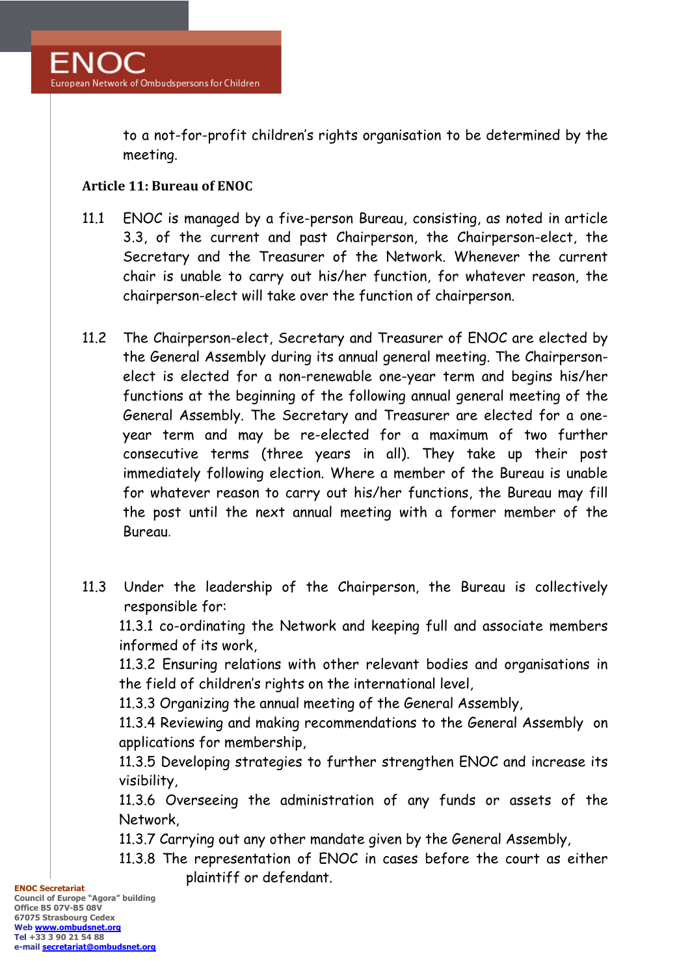to a not-for-profit children's rights organisation to be determined by the meeting.

### **Article 11: Bureau of ENOC**

- 11.1 ENOC is managed by a five-person Bureau, consisting, as noted in article 3.3, of the current and past Chairperson, the Chairperson-elect, the Secretary and the Treasurer of the Network. Whenever the current chair is unable to carry out his/her function, for whatever reason, the chairperson-elect will take over the function of chairperson.
- 11.2 The Chairperson-elect, Secretary and Treasurer of ENOC are elected by the General Assembly during its annual general meeting. The Chairpersonelect is elected for a non-renewable one-year term and begins his/her functions at the beginning of the following annual general meeting of the General Assembly. The Secretary and Treasurer are elected for a oneyear term and may be re-elected for a maximum of two further consecutive terms (three years in all). They take up their post immediately following election. Where a member of the Bureau is unable for whatever reason to carry out his/her functions, the Bureau may fill the post until the next annual meeting with a former member of the Bureau.
- 11.3 Under the leadership of the Chairperson, the Bureau is collectively responsible for:

11.3.1 co-ordinating the Network and keeping full and associate members informed of its work,

11.3.2 Ensuring relations with other relevant bodies and organisations in the field of children's rights on the international level,

11.3.3 Organizing the annual meeting of the General Assembly,

11.3.4 Reviewing and making recommendations to the General Assembly on applications for membership,

11.3.5 Developing strategies to further strengthen ENOC and increase its visibility,

11.3.6 Overseeing the administration of any funds or assets of the Network,

11.3.7 Carrying out any other mandate given by the General Assembly,

11.3.8 The representation of ENOC in cases before the court as either plaintiff or defendant.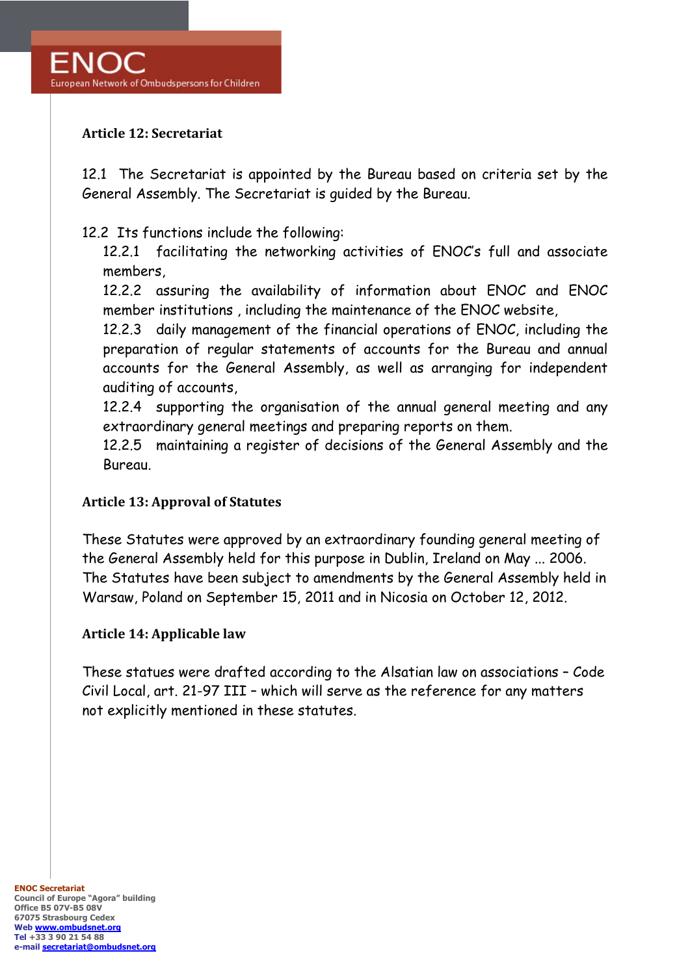### **Article 12: Secretariat**

12.1 The Secretariat is appointed by the Bureau based on criteria set by the General Assembly. The Secretariat is guided by the Bureau.

### 12.2 Its functions include the following:

12.2.1 facilitating the networking activities of ENOC's full and associate members,

12.2.2 assuring the availability of information about ENOC and ENOC member institutions , including the maintenance of the ENOC website,

12.2.3 daily management of the financial operations of ENOC, including the preparation of regular statements of accounts for the Bureau and annual accounts for the General Assembly, as well as arranging for independent auditing of accounts,

12.2.4 supporting the organisation of the annual general meeting and any extraordinary general meetings and preparing reports on them.

12.2.5 maintaining a register of decisions of the General Assembly and the Bureau.

#### **Article 13: Approval of Statutes**

These Statutes were approved by an extraordinary founding general meeting of the General Assembly held for this purpose in Dublin, Ireland on May ... 2006. The Statutes have been subject to amendments by the General Assembly held in Warsaw, Poland on September 15, 2011 and in Nicosia on October 12, 2012.

#### **Article 14: Applicable law**

These statues were drafted according to the Alsatian law on associations – Code Civil Local, art. 21-97 III – which will serve as the reference for any matters not explicitly mentioned in these statutes.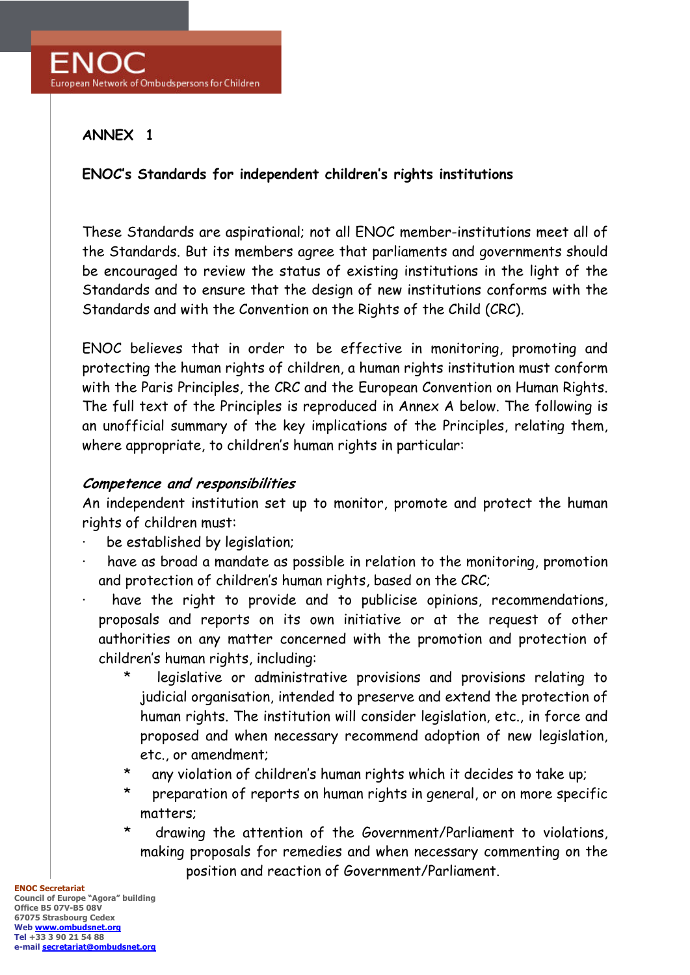### **ANNEX 1**

### **ENOC's Standards for independent children's rights institutions**

These Standards are aspirational; not all ENOC member-institutions meet all of the Standards. But its members agree that parliaments and governments should be encouraged to review the status of existing institutions in the light of the Standards and to ensure that the design of new institutions conforms with the Standards and with the Convention on the Rights of the Child (CRC).

ENOC believes that in order to be effective in monitoring, promoting and protecting the human rights of children, a human rights institution must conform with the Paris Principles, the CRC and the European Convention on Human Rights. The full text of the Principles is reproduced in Annex A below. The following is an unofficial summary of the key implications of the Principles, relating them, where appropriate, to children's human rights in particular:

### **Competence and responsibilities**

An independent institution set up to monitor, promote and protect the human rights of children must:

- be established by legislation;
- have as broad a mandate as possible in relation to the monitoring, promotion and protection of children's human rights, based on the CRC;
- have the right to provide and to publicise opinions, recommendations, proposals and reports on its own initiative or at the request of other authorities on any matter concerned with the promotion and protection of children's human rights, including:
	- legislative or administrative provisions and provisions relating to judicial organisation, intended to preserve and extend the protection of human rights. The institution will consider legislation, etc., in force and proposed and when necessary recommend adoption of new legislation, etc., or amendment;
	- \* any violation of children's human rights which it decides to take up;
	- \* preparation of reports on human rights in general, or on more specific matters;
	- \* drawing the attention of the Government/Parliament to violations, making proposals for remedies and when necessary commenting on the position and reaction of Government/Parliament.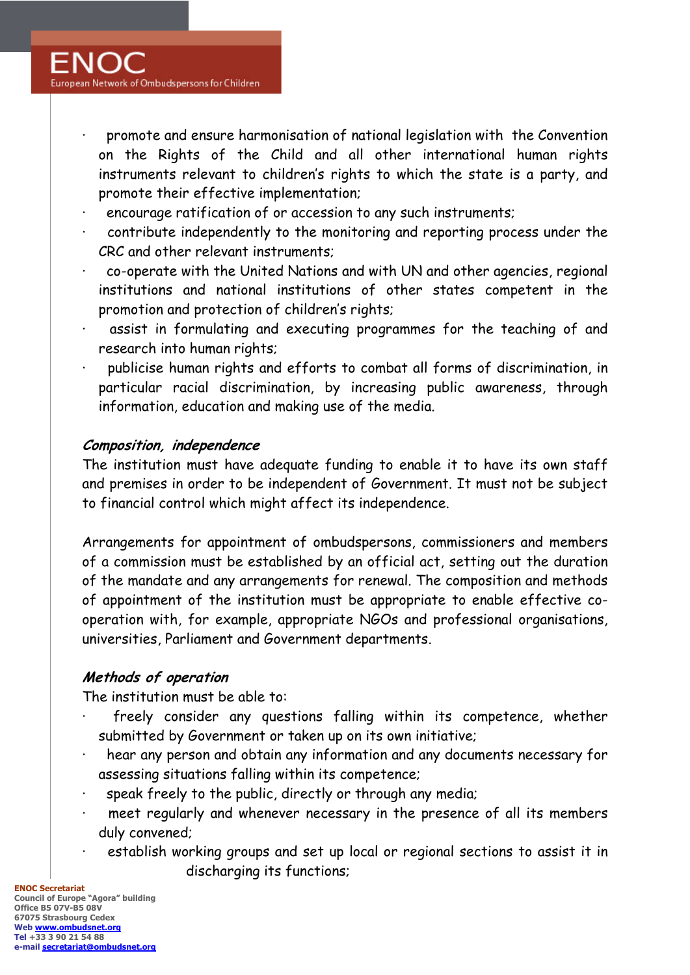- · promote and ensure harmonisation of national legislation with the Convention on the Rights of the Child and all other international human rights instruments relevant to children's rights to which the state is a party, and promote their effective implementation;
- encourage ratification of or accession to any such instruments;
- contribute independently to the monitoring and reporting process under the CRC and other relevant instruments;
- · co-operate with the United Nations and with UN and other agencies, regional institutions and national institutions of other states competent in the promotion and protection of children's rights;
- assist in formulating and executing programmes for the teaching of and research into human rights;
- publicise human rights and efforts to combat all forms of discrimination, in particular racial discrimination, by increasing public awareness, through information, education and making use of the media.

# **Composition, independence**

The institution must have adequate funding to enable it to have its own staff and premises in order to be independent of Government. It must not be subject to financial control which might affect its independence.

Arrangements for appointment of ombudspersons, commissioners and members of a commission must be established by an official act, setting out the duration of the mandate and any arrangements for renewal. The composition and methods of appointment of the institution must be appropriate to enable effective cooperation with, for example, appropriate NGOs and professional organisations, universities, Parliament and Government departments.

# **Methods of operation**

The institution must be able to:

- freely consider any questions falling within its competence, whether submitted by Government or taken up on its own initiative;
- hear any person and obtain any information and any documents necessary for assessing situations falling within its competence;
- speak freely to the public, directly or through any media;
- meet regularly and whenever necessary in the presence of all its members duly convened;
- establish working groups and set up local or regional sections to assist it in discharging its functions;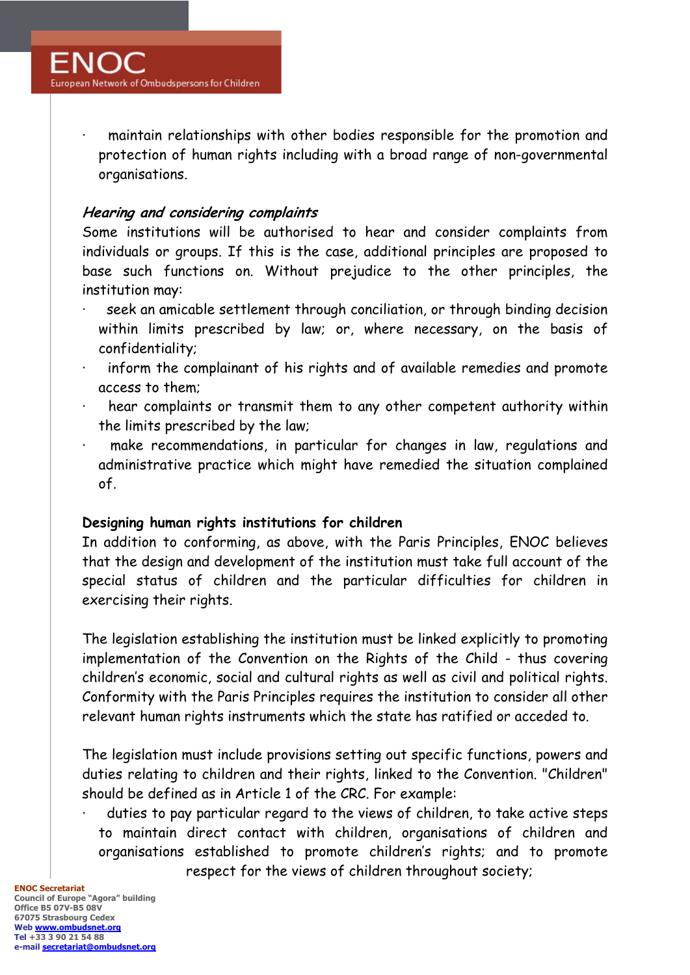maintain relationships with other bodies responsible for the promotion and protection of human rights including with a broad range of non-governmental organisations.

# **Hearing and considering complaints**

Some institutions will be authorised to hear and consider complaints from individuals or groups. If this is the case, additional principles are proposed to base such functions on. Without prejudice to the other principles, the institution may:

- seek an amicable settlement through conciliation, or through binding decision within limits prescribed by law; or, where necessary, on the basis of confidentiality;
- inform the complainant of his rights and of available remedies and promote access to them;
- hear complaints or transmit them to any other competent authority within the limits prescribed by the law;
- make recommendations, in particular for changes in law, regulations and administrative practice which might have remedied the situation complained of.

# **Designing human rights institutions for children**

In addition to conforming, as above, with the Paris Principles, ENOC believes that the design and development of the institution must take full account of the special status of children and the particular difficulties for children in exercising their rights.

The legislation establishing the institution must be linked explicitly to promoting implementation of the Convention on the Rights of the Child - thus covering children's economic, social and cultural rights as well as civil and political rights. Conformity with the Paris Principles requires the institution to consider all other relevant human rights instruments which the state has ratified or acceded to.

The legislation must include provisions setting out specific functions, powers and duties relating to children and their rights, linked to the Convention. "Children" should be defined as in Article 1 of the CRC. For example:

duties to pay particular regard to the views of children, to take active steps to maintain direct contact with children, organisations of children and organisations established to promote children's rights; and to promote respect for the views of children throughout society;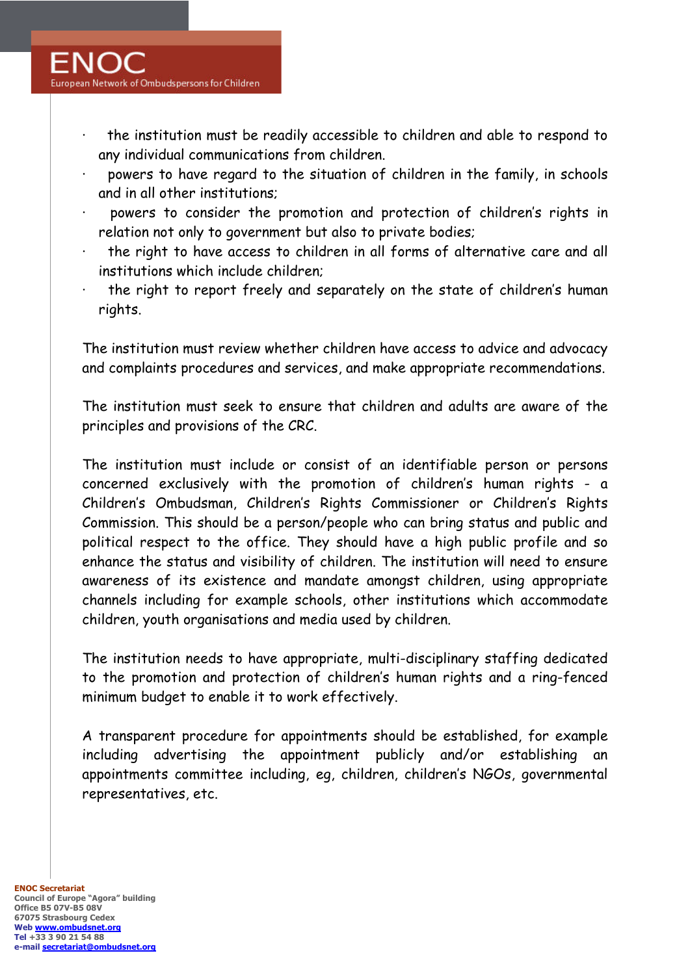- the institution must be readily accessible to children and able to respond to any individual communications from children.
- powers to have regard to the situation of children in the family, in schools and in all other institutions;
- powers to consider the promotion and protection of children's rights in relation not only to government but also to private bodies;
- the right to have access to children in all forms of alternative care and all institutions which include children;
- the right to report freely and separately on the state of children's human rights.

The institution must review whether children have access to advice and advocacy and complaints procedures and services, and make appropriate recommendations.

The institution must seek to ensure that children and adults are aware of the principles and provisions of the CRC.

The institution must include or consist of an identifiable person or persons concerned exclusively with the promotion of children's human rights - a Children's Ombudsman, Children's Rights Commissioner or Children's Rights Commission. This should be a person/people who can bring status and public and political respect to the office. They should have a high public profile and so enhance the status and visibility of children. The institution will need to ensure awareness of its existence and mandate amongst children, using appropriate channels including for example schools, other institutions which accommodate children, youth organisations and media used by children.

The institution needs to have appropriate, multi-disciplinary staffing dedicated to the promotion and protection of children's human rights and a ring-fenced minimum budget to enable it to work effectively.

A transparent procedure for appointments should be established, for example including advertising the appointment publicly and/or establishing an appointments committee including, eg, children, children's NGOs, governmental representatives, etc.